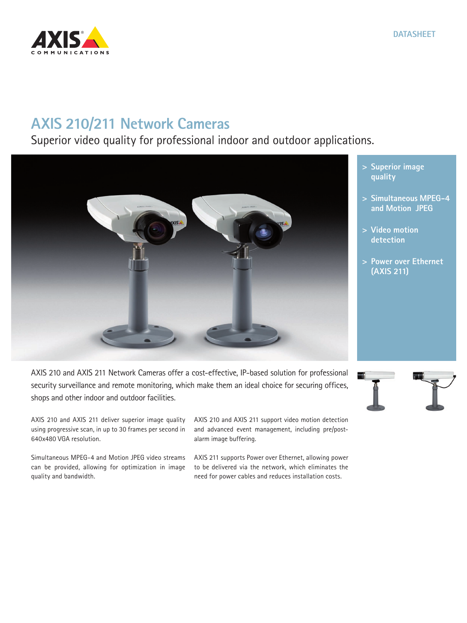

## **AXIS 210/211 Network Cameras**

Superior video quality for professional indoor and outdoor applications.



- **> Superior image quality**
- **> Simultaneous MPEG-4 and Motion JPEG**
- **> Video motion detection**
- **> Power over Ethernet (AXIS 211)**

AXIS 210 and AXIS 211 Network Cameras offer a cost-effective, IP-based solution for professional security surveillance and remote monitoring, which make them an ideal choice for securing offices, shops and other indoor and outdoor facilities.

AXIS 210 and AXIS 211 deliver superior image quality using progressive scan, in up to 30 frames per second in 640x480 VGA resolution.

Simultaneous MPEG-4 and Motion JPEG video streams can be provided, allowing for optimization in image quality and bandwidth.

AXIS 210 and AXIS 211 support video motion detection and advanced event management, including pre/postalarm image buffering.

AXIS 211 supports Power over Ethernet, allowing power to be delivered via the network, which eliminates the need for power cables and reduces installation costs.